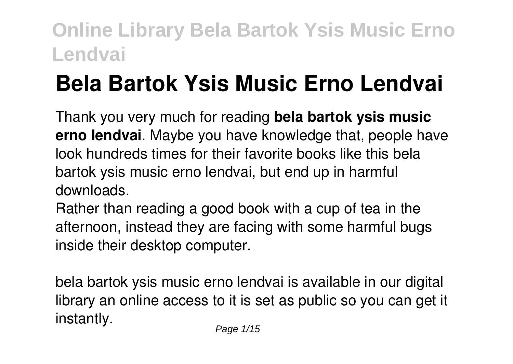# **Bela Bartok Ysis Music Erno Lendvai**

Thank you very much for reading **bela bartok ysis music erno lendvai**. Maybe you have knowledge that, people have look hundreds times for their favorite books like this bela bartok ysis music erno lendvai, but end up in harmful downloads.

Rather than reading a good book with a cup of tea in the afternoon, instead they are facing with some harmful bugs inside their desktop computer.

bela bartok ysis music erno lendvai is available in our digital library an online access to it is set as public so you can get it instantly.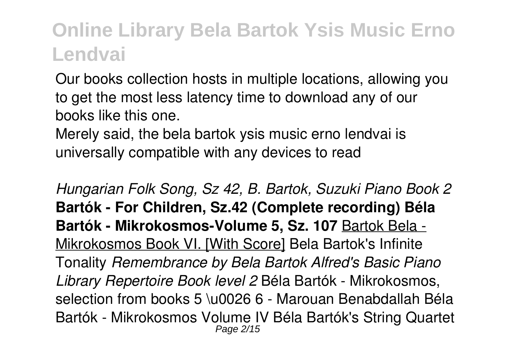Our books collection hosts in multiple locations, allowing you to get the most less latency time to download any of our books like this one.

Merely said, the bela bartok ysis music erno lendvai is universally compatible with any devices to read

*Hungarian Folk Song, Sz 42, B. Bartok, Suzuki Piano Book 2* **Bartók - For Children, Sz.42 (Complete recording) Béla Bartók - Mikrokosmos-Volume 5, Sz. 107** Bartok Bela - Mikrokosmos Book VI. [With Score] Bela Bartok's Infinite Tonality *Remembrance by Bela Bartok Alfred's Basic Piano Library Repertoire Book level 2* Béla Bartók - Mikrokosmos, selection from books 5 \u0026 6 - Marouan Benabdallah Béla Bartók - Mikrokosmos Volume IV Béla Bartók's String Quartet Page 2/15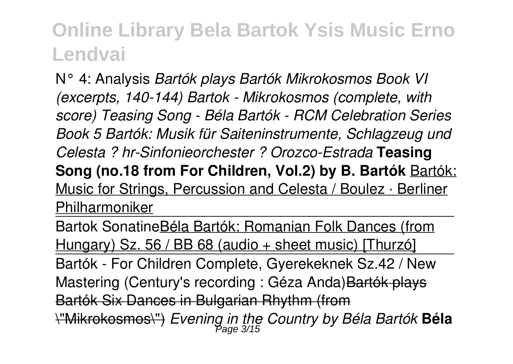N° 4: Analysis *Bartók plays Bartók Mikrokosmos Book VI (excerpts, 140-144) Bartok - Mikrokosmos (complete, with score) Teasing Song - Béla Bartók - RCM Celebration Series Book 5 Bartók: Musik für Saiteninstrumente, Schlagzeug und Celesta ? hr-Sinfonieorchester ? Orozco-Estrada* **Teasing Song (no.18 from For Children, Vol.2) by B. Bartók** Bartók: Music for Strings, Percussion and Celesta / Boulez · Berliner Philharmoniker

Bartok SonatineBéla Bartók: Romanian Folk Dances (from Hungary) Sz. 56 / BB 68 (audio + sheet music) [Thurzó] Bartók - For Children Complete, Gyerekeknek Sz.42 / New Mastering (Century's recording : Géza Anda) Bartók plays Bartók Six Dances in Bulgarian Rhythm (from \"Mikrokosmos\") *Evening in the Country by Béla Bartók* **Béla** Page 3/15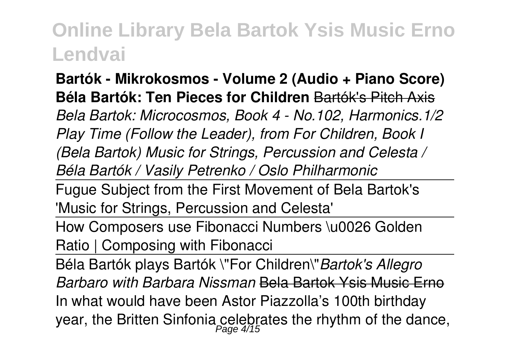**Bartók - Mikrokosmos - Volume 2 (Audio + Piano Score) Béla Bartók: Ten Pieces for Children** Bartók's Pitch Axis *Bela Bartok: Microcosmos, Book 4 - No.102, Harmonics.1/2 Play Time (Follow the Leader), from For Children, Book I (Bela Bartok) Music for Strings, Percussion and Celesta / Béla Bartók / Vasily Petrenko / Oslo Philharmonic*

Fugue Subject from the First Movement of Bela Bartok's 'Music for Strings, Percussion and Celesta'

How Composers use Fibonacci Numbers \u0026 Golden Ratio | Composing with Fibonacci

Béla Bartók plays Bartók \"For Children\"*Bartok's Allegro Barbaro with Barbara Nissman* Bela Bartok Ysis Music Erno In what would have been Astor Piazzolla's 100th birthday year, the Britten Sinfonia celebrates the rhythm of the dance,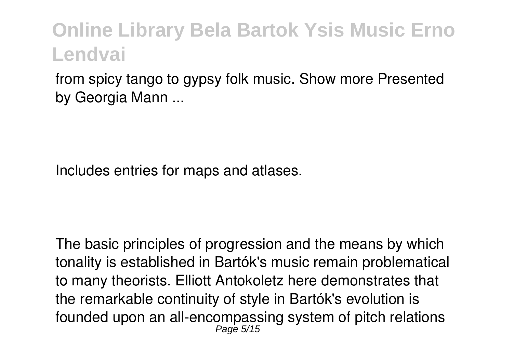from spicy tango to gypsy folk music. Show more Presented by Georgia Mann ...

Includes entries for maps and atlases.

The basic principles of progression and the means by which tonality is established in Bartók's music remain problematical to many theorists. Elliott Antokoletz here demonstrates that the remarkable continuity of style in Bartók's evolution is founded upon an all-encompassing system of pitch relations Page 5/15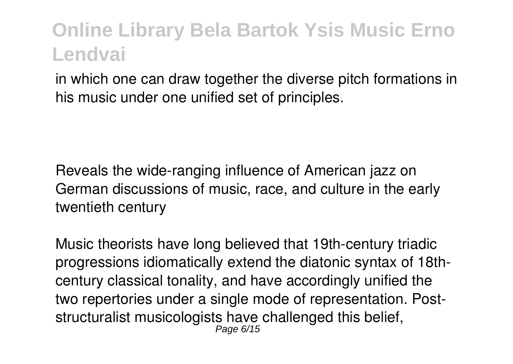in which one can draw together the diverse pitch formations in his music under one unified set of principles.

Reveals the wide-ranging influence of American jazz on German discussions of music, race, and culture in the early twentieth century

Music theorists have long believed that 19th-century triadic progressions idiomatically extend the diatonic syntax of 18thcentury classical tonality, and have accordingly unified the two repertories under a single mode of representation. Poststructuralist musicologists have challenged this belief, Page 6/15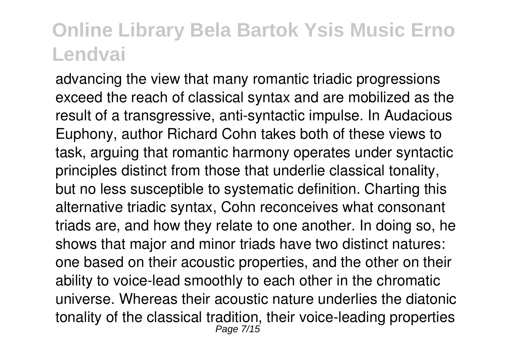advancing the view that many romantic triadic progressions exceed the reach of classical syntax and are mobilized as the result of a transgressive, anti-syntactic impulse. In Audacious Euphony, author Richard Cohn takes both of these views to task, arguing that romantic harmony operates under syntactic principles distinct from those that underlie classical tonality, but no less susceptible to systematic definition. Charting this alternative triadic syntax, Cohn reconceives what consonant triads are, and how they relate to one another. In doing so, he shows that major and minor triads have two distinct natures: one based on their acoustic properties, and the other on their ability to voice-lead smoothly to each other in the chromatic universe. Whereas their acoustic nature underlies the diatonic tonality of the classical tradition, their voice-leading properties Page 7/15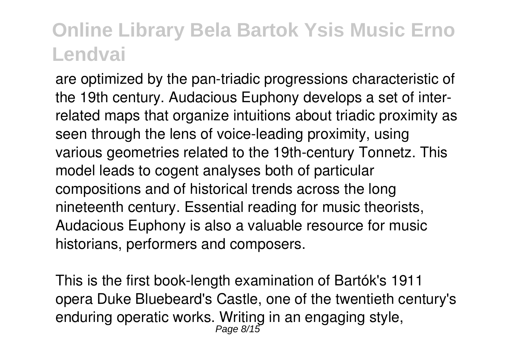are optimized by the pan-triadic progressions characteristic of the 19th century. Audacious Euphony develops a set of interrelated maps that organize intuitions about triadic proximity as seen through the lens of voice-leading proximity, using various geometries related to the 19th-century Tonnetz. This model leads to cogent analyses both of particular compositions and of historical trends across the long nineteenth century. Essential reading for music theorists, Audacious Euphony is also a valuable resource for music historians, performers and composers.

This is the first book-length examination of Bartók's 1911 opera Duke Bluebeard's Castle, one of the twentieth century's enduring operatic works. Writing in an engaging style,<br>Page 8/15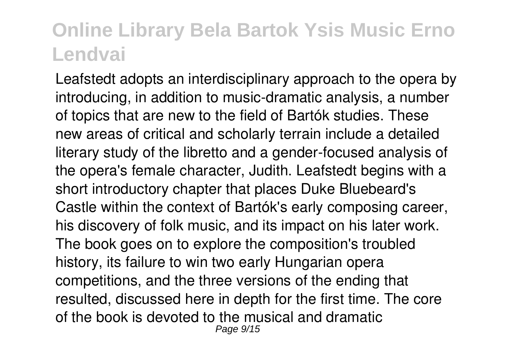Leafstedt adopts an interdisciplinary approach to the opera by introducing, in addition to music-dramatic analysis, a number of topics that are new to the field of Bartók studies. These new areas of critical and scholarly terrain include a detailed literary study of the libretto and a gender-focused analysis of the opera's female character, Judith. Leafstedt begins with a short introductory chapter that places Duke Bluebeard's Castle within the context of Bartók's early composing career, his discovery of folk music, and its impact on his later work. The book goes on to explore the composition's troubled history, its failure to win two early Hungarian opera competitions, and the three versions of the ending that resulted, discussed here in depth for the first time. The core of the book is devoted to the musical and dramatic Page 9/15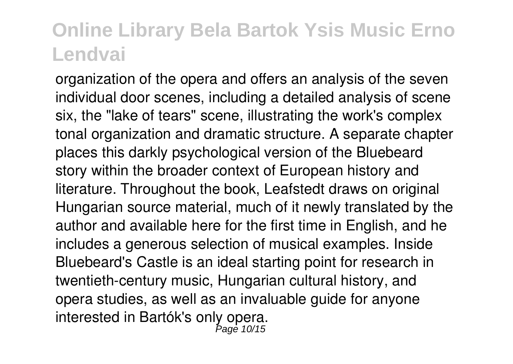organization of the opera and offers an analysis of the seven individual door scenes, including a detailed analysis of scene six, the "lake of tears" scene, illustrating the work's complex tonal organization and dramatic structure. A separate chapter places this darkly psychological version of the Bluebeard story within the broader context of European history and literature. Throughout the book, Leafstedt draws on original Hungarian source material, much of it newly translated by the author and available here for the first time in English, and he includes a generous selection of musical examples. Inside Bluebeard's Castle is an ideal starting point for research in twentieth-century music, Hungarian cultural history, and opera studies, as well as an invaluable guide for anyone interested in Bartók's only opera. Page 10/15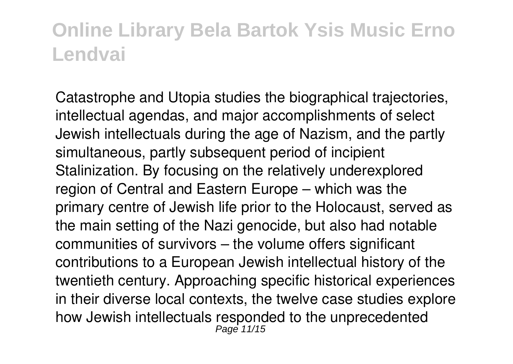Catastrophe and Utopia studies the biographical trajectories, intellectual agendas, and major accomplishments of select Jewish intellectuals during the age of Nazism, and the partly simultaneous, partly subsequent period of incipient Stalinization. By focusing on the relatively underexplored region of Central and Eastern Europe – which was the primary centre of Jewish life prior to the Holocaust, served as the main setting of the Nazi genocide, but also had notable communities of survivors – the volume offers significant contributions to a European Jewish intellectual history of the twentieth century. Approaching specific historical experiences in their diverse local contexts, the twelve case studies explore how Jewish intellectuals responded to the unprecedented<br>Page 11/15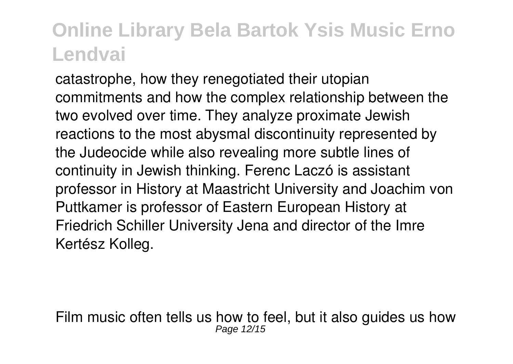catastrophe, how they renegotiated their utopian commitments and how the complex relationship between the two evolved over time. They analyze proximate Jewish reactions to the most abysmal discontinuity represented by the Judeocide while also revealing more subtle lines of continuity in Jewish thinking. Ferenc Laczó is assistant professor in History at Maastricht University and Joachim von Puttkamer is professor of Eastern European History at Friedrich Schiller University Jena and director of the Imre Kertész Kolleg.

Film music often tells us how to feel, but it also guides us how Page 12/15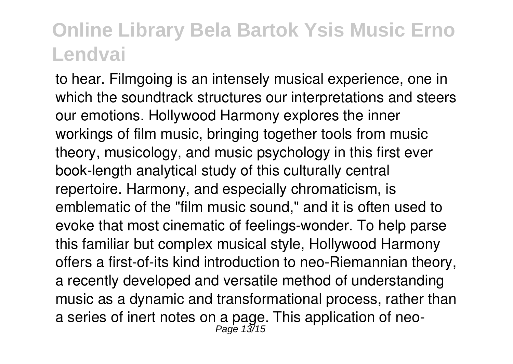to hear. Filmgoing is an intensely musical experience, one in which the soundtrack structures our interpretations and steers our emotions. Hollywood Harmony explores the inner workings of film music, bringing together tools from music theory, musicology, and music psychology in this first ever book-length analytical study of this culturally central repertoire. Harmony, and especially chromaticism, is emblematic of the "film music sound," and it is often used to evoke that most cinematic of feelings-wonder. To help parse this familiar but complex musical style, Hollywood Harmony offers a first-of-its kind introduction to neo-Riemannian theory, a recently developed and versatile method of understanding music as a dynamic and transformational process, rather than a series of inert notes on a page. This application of neo-<br> $_{Page 13/15}^{Page 13/15}$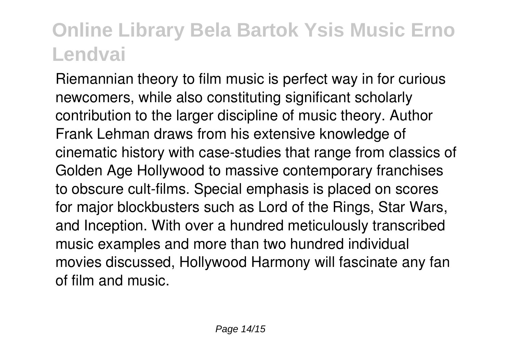Riemannian theory to film music is perfect way in for curious newcomers, while also constituting significant scholarly contribution to the larger discipline of music theory. Author Frank Lehman draws from his extensive knowledge of cinematic history with case-studies that range from classics of Golden Age Hollywood to massive contemporary franchises to obscure cult-films. Special emphasis is placed on scores for major blockbusters such as Lord of the Rings, Star Wars, and Inception. With over a hundred meticulously transcribed music examples and more than two hundred individual movies discussed, Hollywood Harmony will fascinate any fan of film and music.